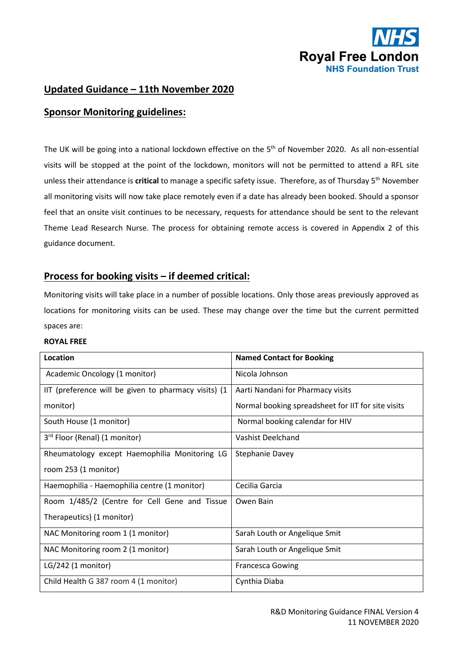

# **Updated Guidance – 11th November 2020**

## **Sponsor Monitoring guidelines:**

The UK will be going into a national lockdown effective on the 5<sup>th</sup> of November 2020. As all non-essential visits will be stopped at the point of the lockdown, monitors will not be permitted to attend a RFL site unless their attendance is **critical** to manage a specific safety issue. Therefore, as of Thursday 5th November all monitoring visits will now take place remotely even if a date has already been booked. Should a sponsor feel that an onsite visit continues to be necessary, requests for attendance should be sent to the relevant Theme Lead Research Nurse. The process for obtaining remote access is covered in Appendix 2 of this guidance document.

### **Process for booking visits – if deemed critical:**

Monitoring visits will take place in a number of possible locations. Only those areas previously approved as locations for monitoring visits can be used. These may change over the time but the current permitted spaces are:

#### **ROYAL FREE**

| Location                                             | <b>Named Contact for Booking</b>                   |
|------------------------------------------------------|----------------------------------------------------|
| Academic Oncology (1 monitor)                        | Nicola Johnson                                     |
| IIT (preference will be given to pharmacy visits) (1 | Aarti Nandani for Pharmacy visits                  |
| monitor)                                             | Normal booking spreadsheet for IIT for site visits |
| South House (1 monitor)                              | Normal booking calendar for HIV                    |
| 3 <sup>rd</sup> Floor (Renal) (1 monitor)            | <b>Vashist Deelchand</b>                           |
| Rheumatology except Haemophilia Monitoring LG        | Stephanie Davey                                    |
| room 253 (1 monitor)                                 |                                                    |
| Haemophilia - Haemophilia centre (1 monitor)         | Cecilia Garcia                                     |
| Room 1/485/2 (Centre for Cell Gene and Tissue        | Owen Bain                                          |
| Therapeutics) (1 monitor)                            |                                                    |
| NAC Monitoring room 1 (1 monitor)                    | Sarah Louth or Angelique Smit                      |
| NAC Monitoring room 2 (1 monitor)                    | Sarah Louth or Angelique Smit                      |
| $LG/242$ (1 monitor)                                 | <b>Francesca Gowing</b>                            |
| Child Health G 387 room 4 (1 monitor)                | Cynthia Diaba                                      |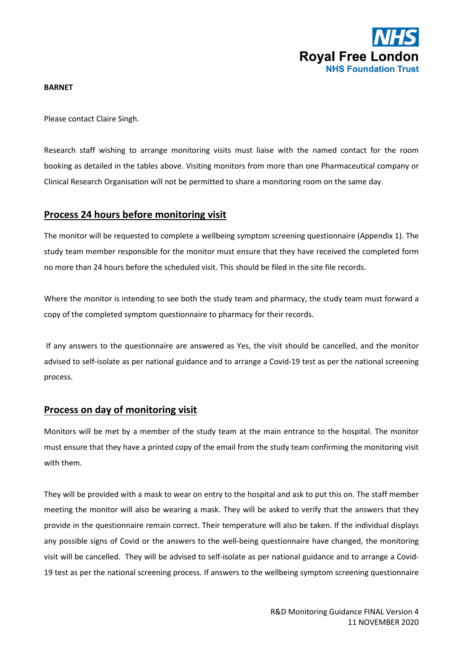

#### **BARNET**

Please contact Claire Singh.

Research staff wishing to arrange monitoring visits must liaise with the named contact for the room booking as detailed in the tables above. Visiting monitors from more than one Pharmaceutical company or Clinical Research Organisation will not be permitted to share a monitoring room on the same day.

## **Process 24 hours before monitoring visit**

The monitor will be requested to complete a wellbeing symptom screening questionnaire (Appendix 1). The study team member responsible for the monitor must ensure that they have received the completed form no more than 24 hours before the scheduled visit. This should be filed in the site file records.

Where the monitor is intending to see both the study team and pharmacy, the study team must forward a copy of the completed symptom questionnaire to pharmacy for their records.

If any answers to the questionnaire are answered as Yes, the visit should be cancelled, and the monitor advised to self-isolate as per national guidance and to arrange a Covid-19 test as per the national screening process.

## **Process on day of monitoring visit**

Monitors will be met by a member of the study team at the main entrance to the hospital. The monitor must ensure that they have a printed copy of the email from the study team confirming the monitoring visit with them.

They will be provided with a mask to wear on entry to the hospital and ask to put this on. The staff member meeting the monitor will also be wearing a mask. They will be asked to verify that the answers that they provide in the questionnaire remain correct. Their temperature will also be taken. If the individual displays any possible signs of Covid or the answers to the well-being questionnaire have changed, the monitoring visit will be cancelled. They will be advised to self-isolate as per national guidance and to arrange a Covid-19 test as per the national screening process. If answers to the wellbeing symptom screening questionnaire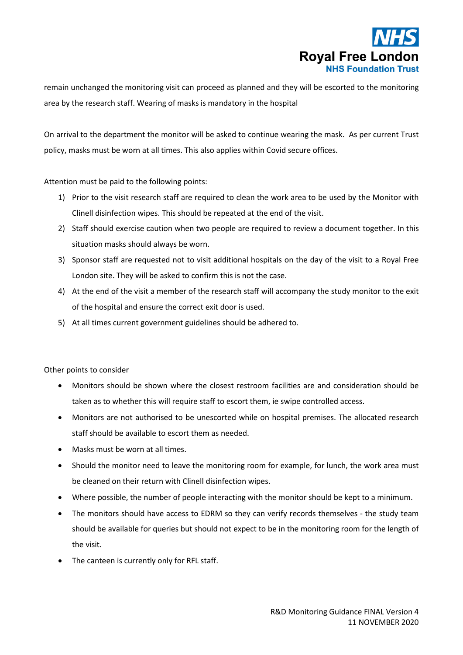

remain unchanged the monitoring visit can proceed as planned and they will be escorted to the monitoring area by the research staff. Wearing of masks is mandatory in the hospital

On arrival to the department the monitor will be asked to continue wearing the mask. As per current Trust policy, masks must be worn at all times. This also applies within Covid secure offices.

Attention must be paid to the following points:

- 1) Prior to the visit research staff are required to clean the work area to be used by the Monitor with Clinell disinfection wipes. This should be repeated at the end of the visit.
- 2) Staff should exercise caution when two people are required to review a document together. In this situation masks should always be worn.
- 3) Sponsor staff are requested not to visit additional hospitals on the day of the visit to a Royal Free London site. They will be asked to confirm this is not the case.
- 4) At the end of the visit a member of the research staff will accompany the study monitor to the exit of the hospital and ensure the correct exit door is used.
- 5) At all times current government guidelines should be adhered to.

Other points to consider

- Monitors should be shown where the closest restroom facilities are and consideration should be taken as to whether this will require staff to escort them, ie swipe controlled access.
- Monitors are not authorised to be unescorted while on hospital premises. The allocated research staff should be available to escort them as needed.
- Masks must be worn at all times.
- Should the monitor need to leave the monitoring room for example, for lunch, the work area must be cleaned on their return with Clinell disinfection wipes.
- Where possible, the number of people interacting with the monitor should be kept to a minimum.
- The monitors should have access to EDRM so they can verify records themselves the study team should be available for queries but should not expect to be in the monitoring room for the length of the visit.
- The canteen is currently only for RFL staff.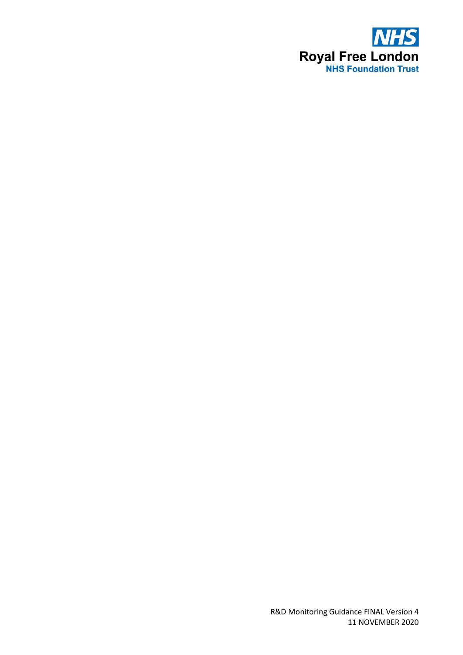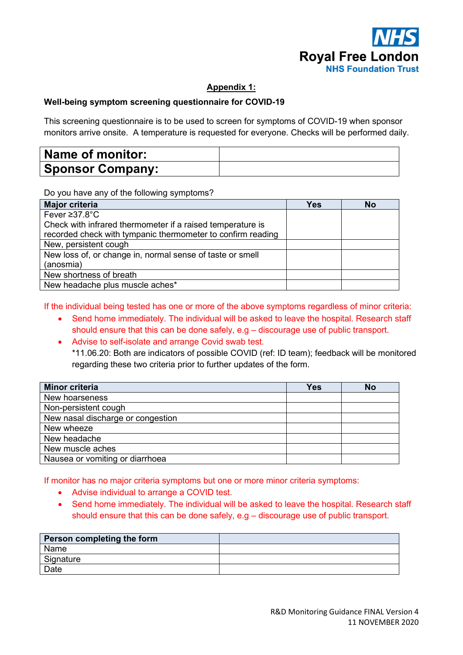

# **Appendix 1:**

### **Well-being symptom screening questionnaire for COVID-19**

This screening questionnaire is to be used to screen for symptoms of COVID-19 when sponsor monitors arrive onsite. A temperature is requested for everyone. Checks will be performed daily.

| <b>Name of monitor:</b> |  |
|-------------------------|--|
| <b>Sponsor Company:</b> |  |

Do you have any of the following symptoms?

| <b>Major criteria</b>                                       | <b>Yes</b> | <b>No</b> |
|-------------------------------------------------------------|------------|-----------|
| Fever $\geq$ 37.8°C                                         |            |           |
| Check with infrared thermometer if a raised temperature is  |            |           |
| recorded check with tympanic thermometer to confirm reading |            |           |
| New, persistent cough                                       |            |           |
| New loss of, or change in, normal sense of taste or smell   |            |           |
| (anosmia)                                                   |            |           |
| New shortness of breath                                     |            |           |
| New headache plus muscle aches*                             |            |           |

If the individual being tested has one or more of the above symptoms regardless of minor criteria:

- Send home immediately. The individual will be asked to leave the hospital. Research staff should ensure that this can be done safely, e.g – discourage use of public transport.
- Advise to self-isolate and arrange Covid swab test. \*11.06.20: Both are indicators of possible COVID (ref: ID team); feedback will be monitored regarding these two criteria prior to further updates of the form.

| <b>Minor criteria</b>             | <b>Yes</b> | <b>No</b> |
|-----------------------------------|------------|-----------|
| New hoarseness                    |            |           |
| Non-persistent cough              |            |           |
| New nasal discharge or congestion |            |           |
| New wheeze                        |            |           |
| New headache                      |            |           |
| New muscle aches                  |            |           |
| Nausea or vomiting or diarrhoea   |            |           |
|                                   |            |           |

If monitor has no major criteria symptoms but one or more minor criteria symptoms:

- Advise individual to arrange a COVID test.
- Send home immediately. The individual will be asked to leave the hospital. Research staff should ensure that this can be done safely, e.g – discourage use of public transport.

| Person completing the form |  |
|----------------------------|--|
| Name                       |  |
| Signature                  |  |
| Date                       |  |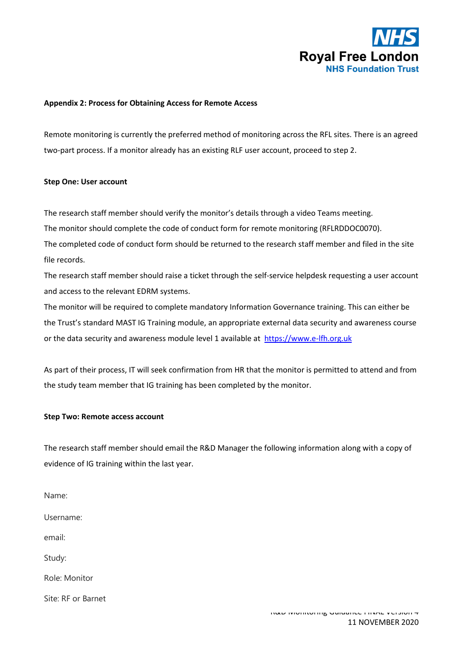

### **Appendix 2: Process for Obtaining Access for Remote Access**

Remote monitoring is currently the preferred method of monitoring across the RFL sites. There is an agreed two-part process. If a monitor already has an existing RLF user account, proceed to step 2.

#### **Step One: User account**

The research staff member should verify the monitor's details through a video Teams meeting.

The monitor should complete the code of conduct form for remote monitoring (RFLRDDOC0070).

The completed code of conduct form should be returned to the research staff member and filed in the site file records.

The research staff member should raise a ticket through the self-service helpdesk requesting a user account and access to the relevant EDRM systems.

The monitor will be required to complete mandatory Information Governance training. This can either be the Trust's standard MAST IG Training module, an appropriate external data security and awareness course or the data security and awareness module level 1 available at [https://www.e-lfh.org.uk](https://www.e-lfh.org.uk/)

As part of their process, IT will seek confirmation from HR that the monitor is permitted to attend and from the study team member that IG training has been completed by the monitor.

#### **Step Two: Remote access account**

The research staff member should email the R&D Manager the following information along with a copy of evidence of IG training within the last year.

Name: Username: email: Study: Role: Monitor Site: RF or Barnet